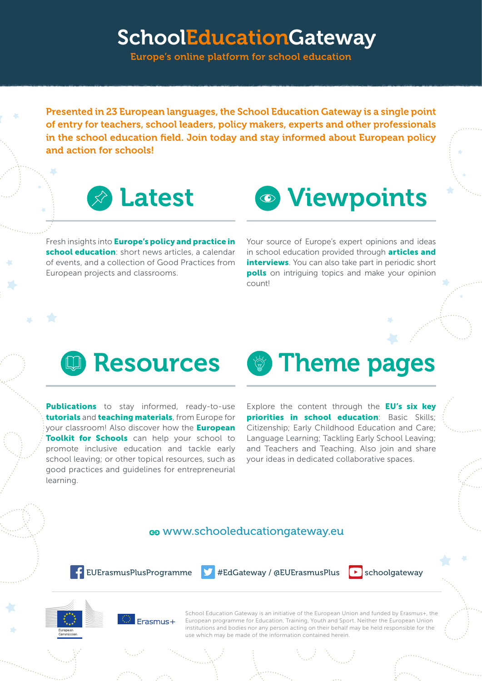# SchoolEducationGateway

Europe's online platform for school education

Presented in 23 European languages, the School Education Gateway is a single point of entry for teachers, school leaders, policy makers, experts and other professionals in the school education field. Join today and stay informed about European policy and action for schools!



Fresh insights into **Europe's policy and practice in** school education: short news articles, a calendar of events, and a collection of Good Practices from European projects and classrooms.



Your source of Europe's expert opinions and ideas in school education provided through articles and interviews. You can also take part in periodic short **polls** on intriguing topics and make your opinion count!

# **QD** Resources

**Publications** to stay informed, ready-to-use tutorials and teaching materials, from Europe for your classroom! Also discover how the **European** Toolkit for Schools can help your school to promote inclusive education and tackle early school leaving; or other topical resources, such as good practices and guidelines for entrepreneurial learning.

**Theme pages** Explore the content through the EU's six key

priorities in school education: Basic Skills; Citizenship; Early Childhood Education and Care; Language Learning; Tackling Early School Leaving; and Teachers and Teaching. Also join and share your ideas in dedicated collaborative spaces.

### [www.schooleducationgateway.e](http://www.schooleducationgateway.eu)u

 $\leftarrow$  [EUErasmusPlusProgramme](http://www.facebook.eu/EUErasmusPlusProgramme)  $\leftarrow$  [#EdGateway](https://twitter.com/hashtag/EdGateway) / [@EUErasmusPlus](https://twitter.com/EUErasmusPlus)  $\leftarrow$  [schoolgateway](https://www.youtube.com/user/schoolgateway)







School Education Gateway is an initiative of the European Union and funded by Erasmus+, the European programme for Education, Training, Youth and Sport. Neither the European Union institutions and bodies nor any person acting on their behalf may be held responsible for the use which may be made of the information contained herein.